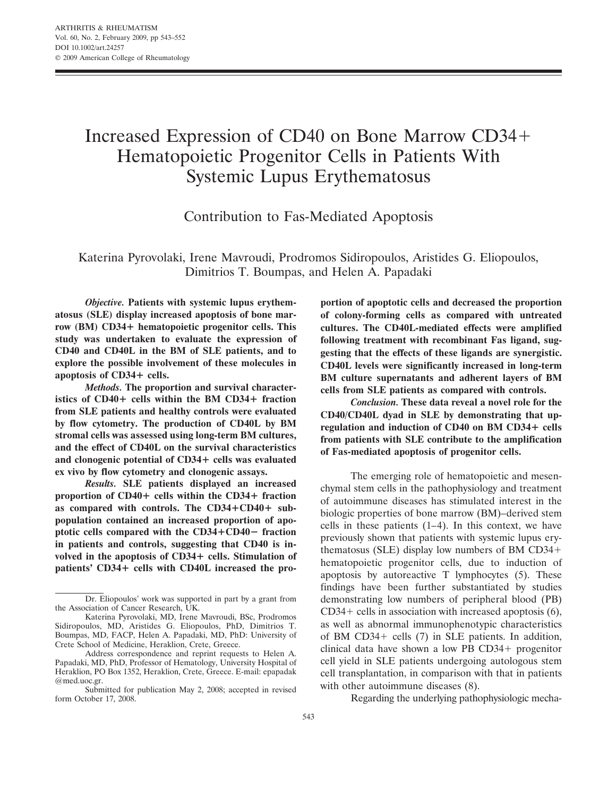# Increased Expression of CD40 on Bone Marrow CD34 Hematopoietic Progenitor Cells in Patients With Systemic Lupus Erythematosus

Contribution to Fas-Mediated Apoptosis

Katerina Pyrovolaki, Irene Mavroudi, Prodromos Sidiropoulos, Aristides G. Eliopoulos, Dimitrios T. Boumpas, and Helen A. Papadaki

*Objective.* **Patients with systemic lupus erythematosus (SLE) display increased apoptosis of bone marrow (BM) CD34 hematopoietic progenitor cells. This study was undertaken to evaluate the expression of CD40 and CD40L in the BM of SLE patients, and to explore the possible involvement of these molecules in apoptosis of CD34 cells.**

*Methods.* **The proportion and survival characteristics of CD40+ cells within the BM CD34+ fraction from SLE patients and healthy controls were evaluated by flow cytometry. The production of CD40L by BM stromal cells was assessed using long-term BM cultures, and the effect of CD40L on the survival characteristics and clonogenic potential of CD34 cells was evaluated ex vivo by flow cytometry and clonogenic assays.**

*Results.* **SLE patients displayed an increased proportion of CD40+ cells within the CD34+ fraction** as compared with controls. The CD34+CD40+ sub**population contained an increased proportion of apoptotic cells compared with the CD34CD40**- **fraction in patients and controls, suggesting that CD40 is involved in the apoptosis of CD34 cells. Stimulation of patients' CD34 cells with CD40L increased the pro-** **portion of apoptotic cells and decreased the proportion of colony-forming cells as compared with untreated cultures. The CD40L-mediated effects were amplified following treatment with recombinant Fas ligand, suggesting that the effects of these ligands are synergistic. CD40L levels were significantly increased in long-term BM culture supernatants and adherent layers of BM cells from SLE patients as compared with controls.**

*Conclusion.* **These data reveal a novel role for the CD40/CD40L dyad in SLE by demonstrating that upregulation and induction of CD40 on BM CD34 cells from patients with SLE contribute to the amplification of Fas-mediated apoptosis of progenitor cells.**

The emerging role of hematopoietic and mesenchymal stem cells in the pathophysiology and treatment of autoimmune diseases has stimulated interest in the biologic properties of bone marrow (BM)–derived stem cells in these patients  $(1-4)$ . In this context, we have previously shown that patients with systemic lupus erythematosus (SLE) display low numbers of BM CD34 hematopoietic progenitor cells, due to induction of apoptosis by autoreactive T lymphocytes (5). These findings have been further substantiated by studies demonstrating low numbers of peripheral blood (PB)  $CD34 +$  cells in association with increased apoptosis (6), as well as abnormal immunophenotypic characteristics of BM CD34+ cells  $(7)$  in SLE patients. In addition, clinical data have shown a low PB  $CD34+$  progenitor cell yield in SLE patients undergoing autologous stem cell transplantation, in comparison with that in patients with other autoimmune diseases  $(8)$ .

Regarding the underlying pathophysiologic mecha-

Dr. Eliopoulos' work was supported in part by a grant from the Association of Cancer Research, UK.

Katerina Pyrovolaki, MD, Irene Mavroudi, BSc, Prodromos Sidiropoulos, MD, Aristides G. Eliopoulos, PhD, Dimitrios T. Boumpas, MD, FACP, Helen A. Papadaki, MD, PhD: University of Crete School of Medicine, Heraklion, Crete, Greece.

Address correspondence and reprint requests to Helen A. Papadaki, MD, PhD, Professor of Hematology, University Hospital of Heraklion, PO Box 1352, Heraklion, Crete, Greece. E-mail: epapadak @med.uoc.gr.

Submitted for publication May 2, 2008; accepted in revised form October 17, 2008.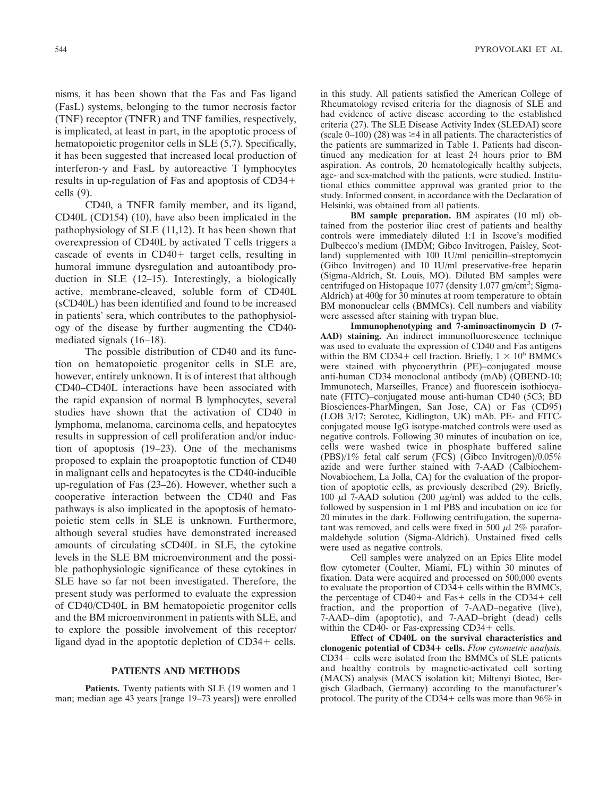nisms, it has been shown that the Fas and Fas ligand (FasL) systems, belonging to the tumor necrosis factor (TNF) receptor (TNFR) and TNF families, respectively, is implicated, at least in part, in the apoptotic process of hematopoietic progenitor cells in SLE (5,7). Specifically, it has been suggested that increased local production of interferon- $\gamma$  and FasL by autoreactive T lymphocytes results in up-regulation of Fas and apoptosis of CD34 cells (9).

CD40, a TNFR family member, and its ligand, CD40L (CD154) (10), have also been implicated in the pathophysiology of SLE (11,12). It has been shown that overexpression of CD40L by activated T cells triggers a cascade of events in  $CD40+$  target cells, resulting in humoral immune dysregulation and autoantibody production in SLE (12–15). Interestingly, a biologically active, membrane-cleaved, soluble form of CD40L (sCD40L) has been identified and found to be increased in patients' sera, which contributes to the pathophysiology of the disease by further augmenting the CD40 mediated signals (16–18).

The possible distribution of CD40 and its function on hematopoietic progenitor cells in SLE are, however, entirely unknown. It is of interest that although CD40–CD40L interactions have been associated with the rapid expansion of normal B lymphocytes, several studies have shown that the activation of CD40 in lymphoma, melanoma, carcinoma cells, and hepatocytes results in suppression of cell proliferation and/or induction of apoptosis (19–23). One of the mechanisms proposed to explain the proapoptotic function of CD40 in malignant cells and hepatocytes is the CD40-inducible up-regulation of Fas (23–26). However, whether such a cooperative interaction between the CD40 and Fas pathways is also implicated in the apoptosis of hematopoietic stem cells in SLE is unknown. Furthermore, although several studies have demonstrated increased amounts of circulating sCD40L in SLE, the cytokine levels in the SLE BM microenvironment and the possible pathophysiologic significance of these cytokines in SLE have so far not been investigated. Therefore, the present study was performed to evaluate the expression of CD40/CD40L in BM hematopoietic progenitor cells and the BM microenvironment in patients with SLE, and to explore the possible involvement of this receptor/ ligand dyad in the apoptotic depletion of  $CD34 +$  cells.

## **PATIENTS AND METHODS**

**Patients.** Twenty patients with SLE (19 women and 1 man; median age 43 years [range 19–73 years]) were enrolled in this study. All patients satisfied the American College of Rheumatology revised criteria for the diagnosis of SLE and had evidence of active disease according to the established criteria (27). The SLE Disease Activity Index (SLEDAI) score  $(scale 0-100)$  (28) was  $\geq 4$  in all patients. The characteristics of the patients are summarized in Table 1. Patients had discontinued any medication for at least 24 hours prior to BM aspiration. As controls, 20 hematologically healthy subjects, age- and sex-matched with the patients, were studied. Institutional ethics committee approval was granted prior to the study. Informed consent, in accordance with the Declaration of Helsinki, was obtained from all patients.

**BM sample preparation.** BM aspirates (10 ml) obtained from the posterior iliac crest of patients and healthy controls were immediately diluted 1:1 in Iscove's modified Dulbecco's medium (IMDM; Gibco Invitrogen, Paisley, Scotland) supplemented with 100 IU/ml penicillin–streptomycin (Gibco Invitrogen) and 10 IU/ml preservative-free heparin (Sigma-Aldrich, St. Louis, MO). Diluted BM samples were centrifuged on Histopaque 1077 (density 1.077 gm/cm<sup>3</sup>; Sigma-Aldrich) at 400*g* for 30 minutes at room temperature to obtain BM mononuclear cells (BMMCs). Cell numbers and viability were assessed after staining with trypan blue.

**Immunophenotyping and 7-aminoactinomycin D (7- AAD) staining.** An indirect immunofluorescence technique was used to evaluate the expression of CD40 and Fas antigens within the BM CD34+ cell fraction. Briefly,  $1 \times 10^6$  BMMCs were stained with phycoerythrin (PE)–conjugated mouse anti-human CD34 monoclonal antibody (mAb) (QBEND-10; Immunotech, Marseilles, France) and fluorescein isothiocyanate (FITC)–conjugated mouse anti-human CD40 (5C3; BD Biosciences-PharMingen, San Jose, CA) or Fas (CD95) (LOB 3/17; Serotec, Kidlington, UK) mAb. PE- and FITCconjugated mouse IgG isotype-matched controls were used as negative controls. Following 30 minutes of incubation on ice, cells were washed twice in phosphate buffered saline (PBS)/1% fetal calf serum (FCS) (Gibco Invitrogen)/0.05% azide and were further stained with 7-AAD (Calbiochem-Novabiochem, La Jolla, CA) for the evaluation of the proportion of apoptotic cells, as previously described (29). Briefly, 100  $\mu$ l 7-AAD solution (200  $\mu$ g/ml) was added to the cells, followed by suspension in 1 ml PBS and incubation on ice for 20 minutes in the dark. Following centrifugation, the supernatant was removed, and cells were fixed in 500  $\mu$ l 2% paraformaldehyde solution (Sigma-Aldrich). Unstained fixed cells were used as negative controls.

Cell samples were analyzed on an Epics Elite model flow cytometer (Coulter, Miami, FL) within 30 minutes of fixation. Data were acquired and processed on 500,000 events to evaluate the proportion of  $CD34 +$  cells within the BMMCs, the percentage of  $CD40+$  and Fas + cells in the CD34 + cell fraction, and the proportion of 7-AAD–negative (live), 7-AAD–dim (apoptotic), and 7-AAD–bright (dead) cells within the CD40- or Fas-expressing  $CD34+$  cells.

**Effect of CD40L on the survival characteristics and clonogenic potential of CD34 cells.** *Flow cytometric analysis.*  $CD34+$  cells were isolated from the BMMCs of SLE patients and healthy controls by magnetic-activated cell sorting (MACS) analysis (MACS isolation kit; Miltenyi Biotec, Bergisch Gladbach, Germany) according to the manufacturer's protocol. The purity of the CD34 + cells was more than  $96\%$  in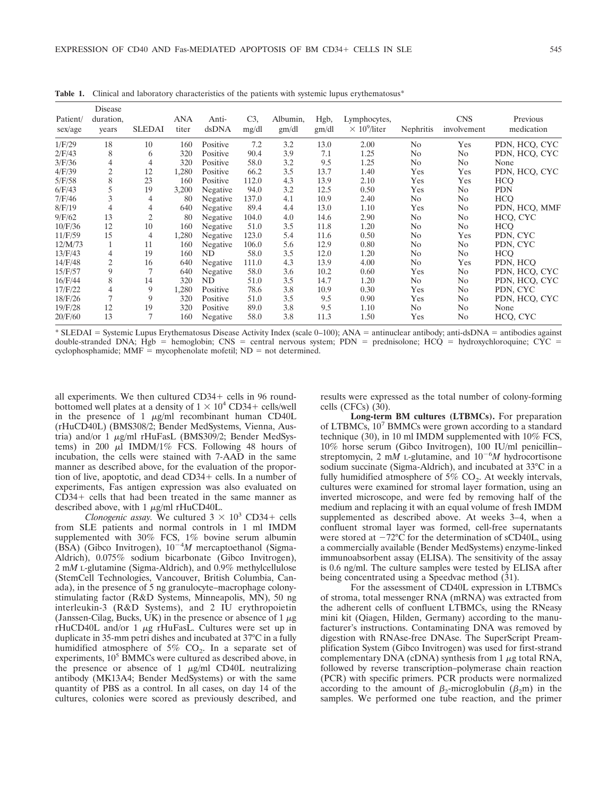| Patient/<br>sex/age | Disease<br>duration,<br>years | <b>SLEDAI</b>  | <b>ANA</b><br>titer | Anti-<br>dsDNA | $C3$ ,<br>mg/dl | Albumin,<br>gm/dl | Hgb,<br>gm/dl | Lymphocytes,<br>$\times 10^9$ /liter | Nephritis      | <b>CNS</b><br>involvement | Previous<br>medication |
|---------------------|-------------------------------|----------------|---------------------|----------------|-----------------|-------------------|---------------|--------------------------------------|----------------|---------------------------|------------------------|
| 1/F/29              | 18                            | 10             | 160                 | Positive       | 7.2             | 3.2               | 13.0          | 2.00                                 | N <sub>0</sub> | Yes                       | PDN, HCQ, CYC          |
| 2/F/43              | 8                             | 6              | 320                 | Positive       | 90.4            | 3.9               | 7.1           | 1.25                                 | N <sub>o</sub> | N <sub>o</sub>            | PDN, HCQ, CYC          |
| 3/F/36              | 4                             | 4              | 320                 | Positive       | 58.0            | 3.2               | 9.5           | 1.25                                 | N <sub>0</sub> | N <sub>o</sub>            | None                   |
| 4/F/39              | $\mathfrak{2}$                | 12             | 1,280               | Positive       | 66.2            | 3.5               | 13.7          | 1.40                                 | Yes            | Yes                       | PDN, HCO, CYC          |
| 5/F/58              | 8                             | 23             | 160                 | Positive       | 112.0           | 4.3               | 13.9          | 2.10                                 | Yes            | Yes                       | <b>HCO</b>             |
| 6/F/43              | 5                             | 19             | 3,200               | Negative       | 94.0            | 3.2               | 12.5          | 0.50                                 | Yes            | N <sub>0</sub>            | <b>PDN</b>             |
| 7/F/46              | 3                             | 4              | 80                  | Negative       | 137.0           | 4.1               | 10.9          | 2.40                                 | N <sub>o</sub> | N <sub>o</sub>            | <b>HCO</b>             |
| 8/F/19              | 4                             | 4              | 640                 | Negative       | 89.4            | 4.4               | 13.0          | 1.10                                 | Yes            | N <sub>o</sub>            | PDN, HCO, MMF          |
| 9/F/62              | 13                            | $\overline{c}$ | 80                  | Negative       | 104.0           | 4.0               | 14.6          | 2.90                                 | No             | N <sub>o</sub>            | HCQ, CYC               |
| 10/F/36             | 12                            | 10             | 160                 | Negative       | 51.0            | 3.5               | 11.8          | 1.20                                 | N <sub>0</sub> | N <sub>o</sub>            | <b>HCO</b>             |
| 11/F/59             | 15                            | 4              | 1,280               | Negative       | 123.0           | 5.4               | 11.6          | 0.50                                 | N <sub>0</sub> | Yes                       | PDN, CYC               |
| 12/M/73             | 1                             | 11             | 160                 | Negative       | 106.0           | 5.6               | 12.9          | 0.80                                 | N <sub>0</sub> | N <sub>o</sub>            | PDN, CYC               |
| 13/F/43             | 4                             | 19             | 160                 | ND             | 58.0            | 3.5               | 12.0          | 1.20                                 | N <sub>0</sub> | No                        | <b>HCO</b>             |
| 14/F/48             | $\mathfrak{2}$                | 16             | 640                 | Negative       | 111.0           | 4.3               | 13.9          | 4.00                                 | N <sub>0</sub> | Yes                       | PDN, HCO               |
| 15/F/57             | 9                             | 7              | 640                 | Negative       | 58.0            | 3.6               | 10.2          | 0.60                                 | Yes            | N <sub>o</sub>            | PDN, HCO, CYC          |
| 16/F/44             | 8                             | 14             | 320                 | ND             | 51.0            | 3.5               | 14.7          | 1.20                                 | N <sub>0</sub> | N <sub>o</sub>            | PDN, HCO, CYC          |
| 17/F/22             | 4                             | 9              | 1,280               | Positive       | 78.6            | 3.8               | 10.9          | 0.30                                 | Yes            | N <sub>0</sub>            | PDN, CYC               |
| 18/F/26             | 7                             | 9              | 320                 | Positive       | 51.0            | 3.5               | 9.5           | 0.90                                 | Yes            | N <sub>0</sub>            | PDN, HCO, CYC          |
| 19/F/28             | 12                            | 19             | 320                 | Positive       | 89.0            | 3.8               | 9.5           | 1.10                                 | N <sub>0</sub> | N <sub>0</sub>            | None                   |
| 20/F/60             | 13                            | 7              | 160                 | Negative       | 58.0            | 3.8               | 11.3          | 1.50                                 | Yes            | N <sub>0</sub>            | HCQ, CYC               |

**Table 1.** Clinical and laboratory characteristics of the patients with systemic lupus erythematosus<sup>\*</sup>

\* SLEDAI = Systemic Lupus Erythematosus Disease Activity Index (scale 0–100); ANA = antinuclear antibody; anti-dsDNA = antibodies against double-stranded DNA; Hgb = hemoglobin; CNS = central nervous system; PDN = prednisolone; HCQ = hydroxychloroquine; CYC = cyclophosphamide;  $MMF = mycophenolate mofetil$ ;  $ND = not determined$ .

all experiments. We then cultured  $CD34 +$  cells in 96 roundbottomed well plates at a density of  $1 \times 10^4$  CD34+ cells/well in the presence of 1  $\mu$ g/ml recombinant human CD40L (rHuCD40L) (BMS308/2; Bender MedSystems, Vienna, Austria) and/or 1 µg/ml rHuFasL (BMS309/2; Bender MedSystems) in 200  $\mu$ I IMDM/1% FCS. Following 48 hours of incubation, the cells were stained with 7-AAD in the same manner as described above, for the evaluation of the proportion of live, apoptotic, and dead CD34+ cells. In a number of experiments, Fas antigen expression was also evaluated on  $CD34+$  cells that had been treated in the same manner as described above, with  $1 \mu g/ml$  rHuCD40L.

*Clonogenic assay.* We cultured  $3 \times 10^3$  CD34+ cells<br>LE patients and normal controls in 1 ml IMDM from SLE patients and normal controls in 1 ml IMDM supplemented with 30% FCS, 1% bovine serum albumin<br>(BSA) (Gibco Invitrogen), 10<sup>-4</sup>M mercaptoethanol (Sigma-<br>Aldrich), 0.075% sodium bicarbonate (Gibco Invitrogen) Aldrich), 0.075% sodium bicarbonate (Gibco Invitrogen), 2 m*M* L-glutamine (Sigma-Aldrich), and 0.9% methylcellulose (StemCell Technologies, Vancouver, British Columbia, Canada), in the presence of 5 ng granulocyte–macrophage colonystimulating factor (R&D Systems, Minneapolis, MN), 50 ng interleukin-3 (R&D Systems), and 2 IU erythropoietin (Janssen-Cilag, Bucks, UK) in the presence or absence of  $1 \mu$ g rHuCD40L and/or  $1 \mu g$  rHuFasL. Cultures were set up in duplicate in 35-mm petri dishes and incubated at 37°C in a fully humidified atmosphere of 5%  $CO<sub>2</sub>$ . In a separate set of experiments, 10<sup>5</sup> BMMCs were cultured as described above, in the presence or absence of 1  $\mu$ g/ml CD40L neutralizing antibody (MK13A4; Bender MedSystems) or with the same quantity of PBS as a control. In all cases, on day 14 of the cultures, colonies were scored as previously described, and

results were expressed as the total number of colony-forming cells (CFCs) (30).

**Long-term BM cultures (LTBMCs).** For preparation of LTBMCs,  $10<sup>7</sup>$  BMMCs were grown according to a standard technique (30), in 10 ml IMDM supplemented with 10% FCS, 10% horse serum (Gibco Invitrogen), 100 IU/ml penicillin– streptomycin, 2 m*M* L-glutamine, and  $10^{-6}M$  hydrocortisone<br>sodium succinate (Sigma-Aldrich), and incubated at 33°C in a sodium succinate (Sigma-Aldrich), and incubated at 33°C in a fully humidified atmosphere of 5%  $CO<sub>2</sub>$ . At weekly intervals, cultures were examined for stromal layer formation, using an inverted microscope, and were fed by removing half of the medium and replacing it with an equal volume of fresh IMDM supplemented as described above. At weeks 3–4, when a confluent stromal layer was formed, cell-free supernatants were stored at  $-72^{\circ}$ C for the determination of sCD40L, using a commercially available (Bender MedSystems) enzyme-linked immunoabsorbent assay (ELISA). The sensitivity of the assay is 0.6 ng/ml. The culture samples were tested by ELISA after being concentrated using a Speedvac method (31).

For the assessment of CD40L expression in LTBMCs of stroma, total messenger RNA (mRNA) was extracted from the adherent cells of confluent LTBMCs, using the RNeasy mini kit (Qiagen, Hilden, Germany) according to the manufacturer's instructions. Contaminating DNA was removed by digestion with RNAse-free DNAse. The SuperScript Preamplification System (Gibco Invitrogen) was used for first-strand complementary DNA (cDNA) synthesis from 1  $\mu$ g total RNA, followed by reverse transcription–polymerase chain reaction (PCR) with specific primers. PCR products were normalized according to the amount of  $\beta_2$ -microglobulin ( $\beta_2$ m) in the samples. We performed one tube reaction, and the primer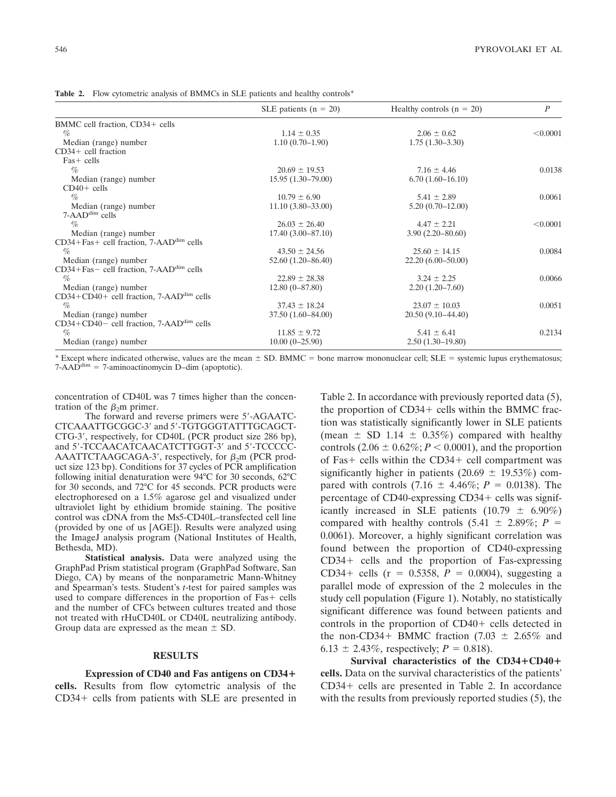**Table 2.** Flow cytometric analysis of BMMCs in SLE patients and healthy controls<sup>\*</sup>

|                                                          | SLE patients ( $n = 20$ ) | Healthy controls $(n = 20)$ | $\boldsymbol{P}$ |
|----------------------------------------------------------|---------------------------|-----------------------------|------------------|
| BMMC cell fraction, CD34+ cells                          |                           |                             |                  |
| $\%$                                                     | $1.14 \pm 0.35$           | $2.06 \pm 0.62$             | < 0.0001         |
| Median (range) number                                    | $1.10(0.70-1.90)$         | $1.75(1.30-3.30)$           |                  |
| $CD34+$ cell fraction                                    |                           |                             |                  |
| $Fast - cells$                                           |                           |                             |                  |
| $\%$                                                     | $20.69 \pm 19.53$         | $7.16 \pm 4.46$             | 0.0138           |
| Median (range) number                                    | $15.95(1.30-79.00)$       | $6.70(1.60-16.10)$          |                  |
| $CD40+$ cells                                            |                           |                             |                  |
| $\%$                                                     | $10.79 \pm 6.90$          | $5.41 \pm 2.89$             | 0.0061           |
| Median (range) number                                    | $11.10(3.80-33.00)$       | $5.20(0.70 - 12.00)$        |                  |
| 7-AADdim cells                                           |                           |                             |                  |
| $\%$                                                     | $26.03 \pm 26.40$         | $4.47 \pm 2.21$             | < 0.0001         |
| Median (range) number                                    | $17.40(3.00-87.10)$       | $3.90(2.20 - 80.60)$        |                  |
| $CD34 + Fas +$ cell fraction, 7-AAD <sup>dim</sup> cells |                           |                             |                  |
| $\%$                                                     | $43.50 \pm 24.56$         | $25.60 \pm 14.15$           | 0.0084           |
| Median (range) number                                    | $52.60(1.20 - 86.40)$     | $22.20(6.00-50.00)$         |                  |
| $CD34 + Fas -$ cell fraction, 7-AAD <sup>dim</sup> cells |                           |                             |                  |
| $\%$                                                     | $22.89 \pm 28.38$         | $3.24 \pm 2.25$             | 0.0066           |
| Median (range) number                                    | $12.80(0-87.80)$          | $2.20(1.20-7.60)$           |                  |
| CD34+CD40+ cell fraction, 7-AAD <sup>dim</sup> cells     |                           |                             |                  |
| %                                                        | $37.43 \pm 18.24$         | $23.07 \pm 10.03$           | 0.0051           |
| Median (range) number                                    | $37.50(1.60 - 84.00)$     | $20.50(9.10-44.40)$         |                  |
| $CD34+CD40-$ cell fraction, 7-AAD <sup>dim</sup> cells   |                           |                             |                  |
| $\%$                                                     | $11.85 \pm 9.72$          | $5.41 \pm 6.41$             | 0.2134           |
| Median (range) number                                    | $10.00(0-25.90)$          | $2.50(1.30-19.80)$          |                  |

\* Except where indicated otherwise, values are the mean  $\pm$  SD. BMMC = bone marrow mononuclear cell; SLE = systemic lupus erythematosus;  $7-AAD^{dim} = 7$ -aminoactinomycin D–dim (apoptotic).

concentration of CD40L was 7 times higher than the concentration of the  $\beta_2$ m primer.

The forward and reverse primers were 5-AGAATC-CTCAAATTGCGGC-3 and 5-TGTGGGTATTTGCAGCT-CTG-3, respectively, for CD40L (PCR product size 286 bp), and 5'-TCCAACATCAACATCTTGGT-3' and 5'-TCCCCC-AAATTCTAAGCAGA-3', respectively, for  $\beta_2$ m (PCR product size 123 bp). Conditions for 37 cycles of PCR amplification following initial denaturation were 94°C for 30 seconds, 62°C for 30 seconds, and 72°C for 45 seconds. PCR products were electrophoresed on a 1.5% agarose gel and visualized under ultraviolet light by ethidium bromide staining. The positive control was cDNA from the Ms5-CD40L–transfected cell line (provided by one of us [AGE]). Results were analyzed using the ImageJ analysis program (National Institutes of Health, Bethesda, MD).

**Statistical analysis.** Data were analyzed using the GraphPad Prism statistical program (GraphPad Software, San Diego, CA) by means of the nonparametric Mann-Whitney and Spearman's tests. Student's *t*-test for paired samples was used to compare differences in the proportion of  $Fast - cells$ and the number of CFCs between cultures treated and those not treated with rHuCD40L or CD40L neutralizing antibody. Group data are expressed as the mean  $\pm$  SD.

#### **RESULTS**

**Expression of CD40 and Fas antigens on CD34 cells.** Results from flow cytometric analysis of the  $CD34+$  cells from patients with SLE are presented in Table 2. In accordance with previously reported data (5), the proportion of  $CD34+$  cells within the BMMC fraction was statistically significantly lower in SLE patients (mean  $\pm$  SD 1.14  $\pm$  0.35%) compared with healthy controls  $(2.06 \pm 0.62\%; P \le 0.0001)$ , and the proportion of Fas+ cells within the  $CD34+$  cell compartment was significantly higher in patients (20.69  $\pm$  19.53%) compared with controls  $(7.16 \pm 4.46\%; P = 0.0138)$ . The percentage of CD40-expressing CD34+ cells was significantly increased in SLE patients  $(10.79 \pm 6.90\%)$ compared with healthy controls  $(5.41 \pm 2.89\%; P =$ 0.0061). Moreover, a highly significant correlation was found between the proportion of CD40-expressing  $CD34+$  cells and the proportion of Fas-expressing CD34+ cells ( $r = 0.5358$ ,  $P = 0.0004$ ), suggesting a parallel mode of expression of the 2 molecules in the study cell population (Figure 1). Notably, no statistically significant difference was found between patients and controls in the proportion of  $CD40+$  cells detected in the non-CD34+ BMMC fraction  $(7.03 \pm 2.65\%$  and 6.13  $\pm$  2.43%, respectively; *P* = 0.818).

Survival characteristics of the CD34+CD40+ **cells.** Data on the survival characteristics of the patients'  $CD34+$  cells are presented in Table 2. In accordance with the results from previously reported studies (5), the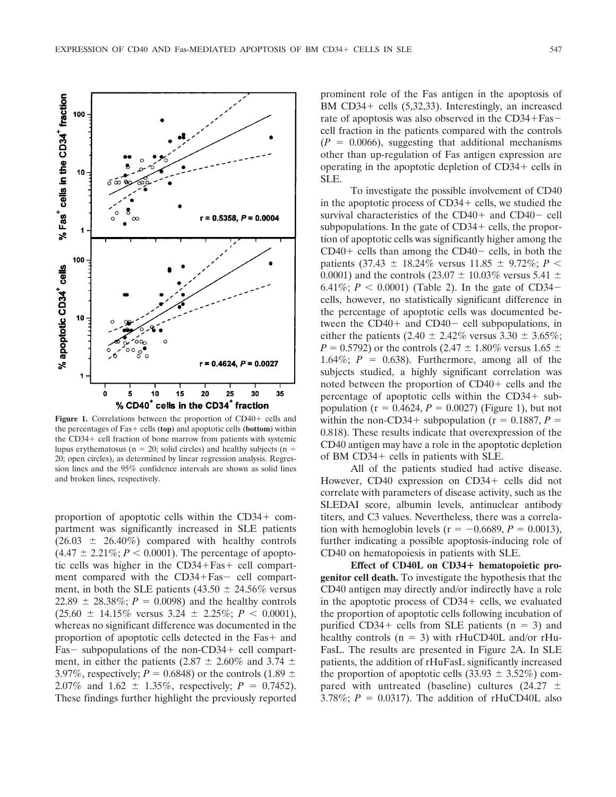EXPRESSION OF CD40 AND Fas-MEDIATED APOPTOSIS OF BM CD34+ CELLS IN SLE 547



Figure 1. Correlations between the proportion of CD40+ cells and the percentages of Fas+ cells **(top)** and apoptotic cells **(bottom)** within the  $CD34+$  cell fraction of bone marrow from patients with systemic lupus erythematosus ( $n = 20$ ; solid circles) and healthy subjects ( $n =$ 20; open circles), as determined by linear regression analysis. Regression lines and the 95% confidence intervals are shown as solid lines and broken lines, respectively.

proportion of apoptotic cells within the  $CD34+$  compartment was significantly increased in SLE patients  $(26.03 \pm 26.40\%)$  compared with healthy controls  $(4.47 \pm 2.21\%; P < 0.0001)$ . The percentage of apoptotic cells was higher in the  $CD34 + Fast +$  cell compartment compared with the CD34+Fas- cell compartment, in both the SLE patients (43.50  $\pm$  24.56% versus  $22.89 \pm 28.38\%$ ;  $P = 0.0098$ ) and the healthy controls  $(25.60 \pm 14.15\% \text{ versus } 3.24 \pm 2.25\%; P \leq 0.0001),$ whereas no significant difference was documented in the proportion of apoptotic cells detected in the  $Fast +$  and  $Fas$  - subpopulations of the non-CD34 + cell compartment, in either the patients (2.87  $\pm$  2.60% and 3.74  $\pm$ 3.97%, respectively;  $P = 0.6848$ ) or the controls (1.89  $\pm$ 2.07% and 1.62  $\pm$  1.35%, respectively; *P* = 0.7452). These findings further highlight the previously reported

prominent role of the Fas antigen in the apoptosis of BM  $CD34+$  cells  $(5,32,33)$ . Interestingly, an increased rate of apoptosis was also observed in the CD34+Fascell fraction in the patients compared with the controls  $(P = 0.0066)$ , suggesting that additional mechanisms other than up-regulation of Fas antigen expression are operating in the apoptotic depletion of  $CD34 +$  cells in SLE.

To investigate the possible involvement of CD40 in the apoptotic process of  $CD34 +$  cells, we studied the survival characteristics of the  $CD40+$  and  $CD40-$  cell subpopulations. In the gate of  $CD34 +$  cells, the proportion of apoptotic cells was significantly higher among the  $CD40+$  cells than among the  $CD40-$  cells, in both the patients (37.43  $\pm$  18.24% versus 11.85  $\pm$  9.72%; *P* < 0.0001) and the controls (23.07  $\pm$  10.03% versus 5.41  $\pm$ 6.41%;  $P < 0.0001$ ) (Table 2). In the gate of CD34– cells, however, no statistically significant difference in the percentage of apoptotic cells was documented between the  $CD40+$  and  $CD40-$  cell subpopulations, in either the patients (2.40  $\pm$  2.42% versus 3.30  $\pm$  3.65%; *P* = 0.5792) or the controls (2.47  $\pm$  1.80% versus 1.65  $\pm$ 1.64%;  $P = 0.638$ ). Furthermore, among all of the subjects studied, a highly significant correlation was noted between the proportion of  $CD40+$  cells and the percentage of apoptotic cells within the  $CD34+$  subpopulation ( $r = 0.4624$ ,  $P = 0.0027$ ) (Figure 1), but not within the non-CD34+ subpopulation ( $r = 0.1887$ ,  $P =$ 0.818). These results indicate that overexpression of the CD40 antigen may have a role in the apoptotic depletion of BM  $CD34+$  cells in patients with SLE.

All of the patients studied had active disease. However, CD40 expression on CD34+ cells did not correlate with parameters of disease activity, such as the SLEDAI score, albumin levels, antinuclear antibody titers, and C3 values. Nevertheless, there was a correlation with hemoglobin levels ( $r = -0.6689$ ,  $P = 0.0013$ ), further indicating a possible apoptosis-inducing role of CD40 on hematopoiesis in patients with SLE.

**Effect of CD40L on CD34 hematopoietic progenitor cell death.** To investigate the hypothesis that the CD40 antigen may directly and/or indirectly have a role in the apoptotic process of  $CD34 +$  cells, we evaluated the proportion of apoptotic cells following incubation of purified  $CD34+$  cells from SLE patients (n = 3) and healthy controls  $(n = 3)$  with rHuCD40L and/or rHu-FasL. The results are presented in Figure 2A. In SLE patients, the addition of rHuFasL significantly increased the proportion of apoptotic cells  $(33.93 \pm 3.52\%)$  compared with untreated (baseline) cultures (24.27  $\pm$ 3.78%;  $P = 0.0317$ ). The addition of rHuCD40L also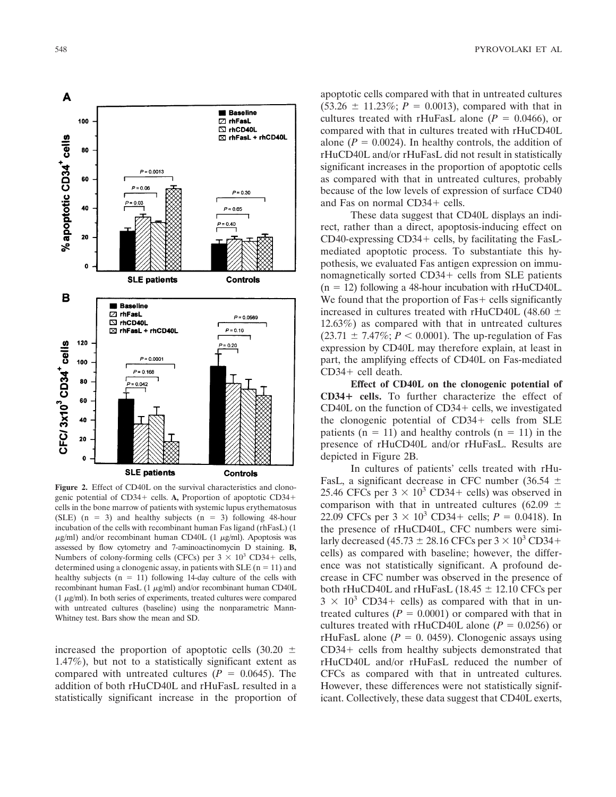

**Figure 2.** Effect of CD40L on the survival characteristics and clonogenic potential of CD34+ cells. A, Proportion of apoptotic CD34+ cells in the bone marrow of patients with systemic lupus erythematosus (SLE)  $(n = 3)$  and healthy subjects  $(n = 3)$  following 48-hour incubation of the cells with recombinant human Fas ligand (rhFasL) (1  $\mu$ g/ml) and/or recombinant human CD40L (1  $\mu$ g/ml). Apoptosis was assessed by flow cytometry and 7-aminoactinomycin D staining. **B,** Numbers of colony-forming cells (CFCs) per  $3 \times 10^3$  CD34+ cells, determined using a clonogenic assay, in patients with SLE ( $n = 11$ ) and healthy subjects  $(n = 11)$  following 14-day culture of the cells with recombinant human FasL (1  $\mu$ g/ml) and/or recombinant human CD40L  $(1 \mu g/ml)$ . In both series of experiments, treated cultures were compared with untreated cultures (baseline) using the nonparametric Mann-Whitney test. Bars show the mean and SD.

increased the proportion of apoptotic cells  $(30.20 \pm$ 1.47%), but not to a statistically significant extent as compared with untreated cultures  $(P = 0.0645)$ . The addition of both rHuCD40L and rHuFasL resulted in a statistically significant increase in the proportion of apoptotic cells compared with that in untreated cultures  $(53.26 \pm 11.23\%; P = 0.0013)$ , compared with that in cultures treated with rHuFasL alone  $(P = 0.0466)$ , or compared with that in cultures treated with rHuCD40L alone  $(P = 0.0024)$ . In healthy controls, the addition of rHuCD40L and/or rHuFasL did not result in statistically significant increases in the proportion of apoptotic cells as compared with that in untreated cultures, probably because of the low levels of expression of surface CD40 and Fas on normal CD34+ cells.

These data suggest that CD40L displays an indirect, rather than a direct, apoptosis-inducing effect on CD40-expressing  $CD34+$  cells, by facilitating the FasLmediated apoptotic process. To substantiate this hypothesis, we evaluated Fas antigen expression on immunomagnetically sorted CD34+ cells from SLE patients  $(n = 12)$  following a 48-hour incubation with rHuCD40L. We found that the proportion of  $Fast - cells$  significantly increased in cultures treated with rHuCD40L (48.60  $\pm$ 12.63%) as compared with that in untreated cultures  $(23.71 \pm 7.47\%; P < 0.0001)$ . The up-regulation of Fas expression by CD40L may therefore explain, at least in part, the amplifying effects of CD40L on Fas-mediated  $CD34+$  cell death.

**Effect of CD40L on the clonogenic potential of CD34 cells.** To further characterize the effect of CD40L on the function of  $CD34 +$  cells, we investigated the clonogenic potential of  $CD34 +$  cells from SLE patients ( $n = 11$ ) and healthy controls ( $n = 11$ ) in the presence of rHuCD40L and/or rHuFasL. Results are depicted in Figure 2B.

In cultures of patients' cells treated with rHu-FasL, a significant decrease in CFC number (36.54  $\pm$ 25.46 CFCs per  $3 \times 10^3$  CD34+ cells) was observed in comparison with that in untreated cultures (62.09  $\pm$ 22.09 CFCs per  $3 \times 10^3$  CD34+ cells;  $P = 0.0418$ ). In the presence of rHuCD40I. CFC numbers were simithe presence of rHuCD40L, CFC numbers were similarly decreased (45.73  $\pm$  28.16 CFCs per 3  $\times$  10<sup>3</sup> CD34+ cells) as compared with baseline; however, the difference was not statistically significant. A profound decrease in CFC number was observed in the presence of both rHuCD40L and rHuFasL  $(18.45 \pm 12.10$  CFCs per  $3 \times 10^3$  CD34+ cells) as compared with that in untreated cultures  $(P = 0.0001)$  or compared with that in cultures treated with rHuCD40L alone ( $P = 0.0256$ ) or rHuFasL alone  $(P = 0.0459)$ . Clonogenic assays using  $CD34+$  cells from healthy subjects demonstrated that rHuCD40L and/or rHuFasL reduced the number of CFCs as compared with that in untreated cultures. However, these differences were not statistically significant. Collectively, these data suggest that CD40L exerts,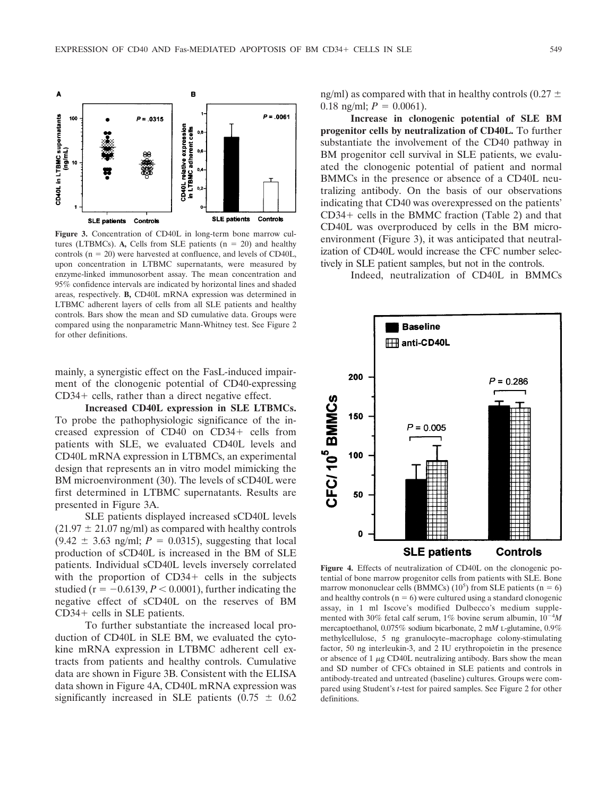

**Figure 3.** Concentration of CD40L in long-term bone marrow cultures (LTBMCs). A, Cells from SLE patients  $(n = 20)$  and healthy controls  $(n = 20)$  were harvested at confluence, and levels of CD40L, upon concentration in LTBMC supernatants, were measured by enzyme-linked immunosorbent assay. The mean concentration and 95% confidence intervals are indicated by horizontal lines and shaded areas, respectively. **B,** CD40L mRNA expression was determined in LTBMC adherent layers of cells from all SLE patients and healthy controls. Bars show the mean and SD cumulative data. Groups were compared using the nonparametric Mann-Whitney test. See Figure 2 for other definitions.

mainly, a synergistic effect on the FasL-induced impairment of the clonogenic potential of CD40-expressing  $CD34+$  cells, rather than a direct negative effect.

**Increased CD40L expression in SLE LTBMCs.** To probe the pathophysiologic significance of the increased expression of CD40 on CD34+ cells from patients with SLE, we evaluated CD40L levels and CD40L mRNA expression in LTBMCs, an experimental design that represents an in vitro model mimicking the BM microenvironment (30). The levels of sCD40L were first determined in LTBMC supernatants. Results are presented in Figure 3A.

SLE patients displayed increased sCD40L levels  $(21.97 \pm 21.07 \text{ ng/ml})$  as compared with healthy controls  $(9.42 \pm 3.63 \text{ ng/ml}; P = 0.0315)$ , suggesting that local production of sCD40L is increased in the BM of SLE patients. Individual sCD40L levels inversely correlated with the proportion of  $CD34+$  cells in the subjects studied ( $r = -0.6139, P \le 0.0001$ ), further indicating the negative effect of sCD40L on the reserves of BM  $CD34+$  cells in SLE patients.

To further substantiate the increased local production of CD40L in SLE BM, we evaluated the cytokine mRNA expression in LTBMC adherent cell extracts from patients and healthy controls. Cumulative data are shown in Figure 3B. Consistent with the ELISA data shown in Figure 4A, CD40L mRNA expression was significantly increased in SLE patients  $(0.75 \pm 0.62)$  ng/ml) as compared with that in healthy controls (0.27  $\pm$ 0.18 ng/ml;  $P = 0.0061$ ).

**Increase in clonogenic potential of SLE BM progenitor cells by neutralization of CD40L.** To further substantiate the involvement of the CD40 pathway in BM progenitor cell survival in SLE patients, we evaluated the clonogenic potential of patient and normal BMMCs in the presence or absence of a CD40L neutralizing antibody. On the basis of our observations indicating that CD40 was overexpressed on the patients'  $CD34+$  cells in the BMMC fraction (Table 2) and that CD40L was overproduced by cells in the BM microenvironment (Figure 3), it was anticipated that neutralization of CD40L would increase the CFC number selectively in SLE patient samples, but not in the controls.

Indeed, neutralization of CD40L in BMMCs



**Figure 4.** Effects of neutralization of CD40L on the clonogenic potential of bone marrow progenitor cells from patients with SLE. Bone marrow mononuclear cells (BMMCs)  $(10^5)$  from SLE patients (n = 6) and healthy controls  $(n = 6)$  were cultured using a standard clonogenic assay, in 1 ml Iscove's modified Dulbecco's medium supplemented with 30% fetal calf serum, 1% bovine serum albumin,  $10^{-4}M$ *M* mercaptoethanol, 0.075% sodium bicarbonate, 2 m*<sup>M</sup>* L-glutamine, 0.9% methylcellulose, 5 ng granulocyte–macrophage colony-stimulating factor, 50 ng interleukin-3, and 2 IU erythropoietin in the presence or absence of  $1 \mu$ g CD40L neutralizing antibody. Bars show the mean and SD number of CFCs obtained in SLE patients and controls in antibody-treated and untreated (baseline) cultures. Groups were compared using Student's *t*-test for paired samples. See Figure 2 for other definitions.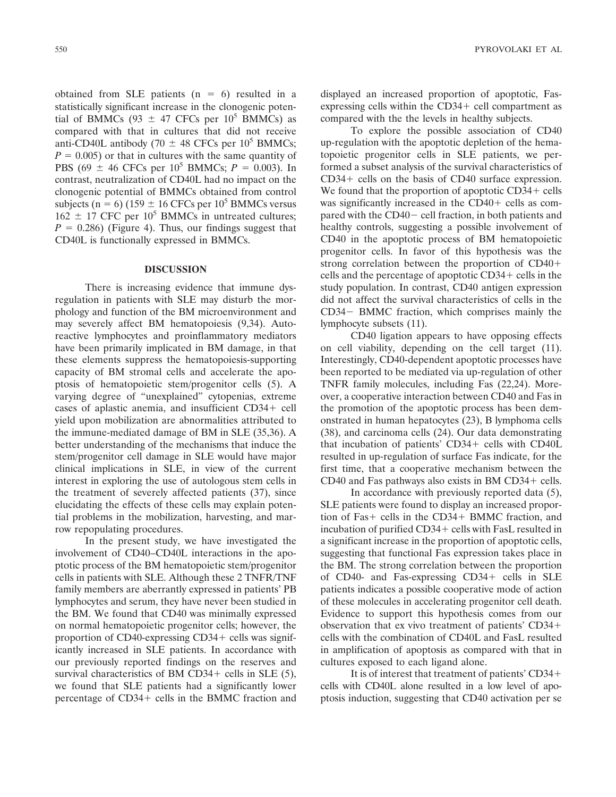obtained from SLE patients  $(n = 6)$  resulted in a statistically significant increase in the clonogenic potential of BMMCs (93  $\pm$  47 CFCs per 10<sup>5</sup> BMMCs) as compared with that in cultures that did not receive anti-CD40L antibody (70  $\pm$  48 CFCs per 10<sup>5</sup> BMMCs;  $P = 0.005$ ) or that in cultures with the same quantity of PBS (69  $\pm$  46 CFCs per 10<sup>5</sup> BMMCs; *P* = 0.003). In contrast, neutralization of CD40L had no impact on the clonogenic potential of BMMCs obtained from control subjects (n = 6) (159  $\pm$  16 CFCs per 10<sup>5</sup> BMMCs versus  $162 \pm 17$  CFC per  $10^5$  BMMCs in untreated cultures;  $P = 0.286$ ) (Figure 4). Thus, our findings suggest that CD40L is functionally expressed in BMMCs.

## **DISCUSSION**

There is increasing evidence that immune dysregulation in patients with SLE may disturb the morphology and function of the BM microenvironment and may severely affect BM hematopoiesis (9,34). Autoreactive lymphocytes and proinflammatory mediators have been primarily implicated in BM damage, in that these elements suppress the hematopoiesis-supporting capacity of BM stromal cells and accelerate the apoptosis of hematopoietic stem/progenitor cells (5). A varying degree of "unexplained" cytopenias, extreme cases of aplastic anemia, and insufficient CD34+ cell yield upon mobilization are abnormalities attributed to the immune-mediated damage of BM in SLE (35,36). A better understanding of the mechanisms that induce the stem/progenitor cell damage in SLE would have major clinical implications in SLE, in view of the current interest in exploring the use of autologous stem cells in the treatment of severely affected patients (37), since elucidating the effects of these cells may explain potential problems in the mobilization, harvesting, and marrow repopulating procedures.

In the present study, we have investigated the involvement of CD40–CD40L interactions in the apoptotic process of the BM hematopoietic stem/progenitor cells in patients with SLE. Although these 2 TNFR/TNF family members are aberrantly expressed in patients' PB lymphocytes and serum, they have never been studied in the BM. We found that CD40 was minimally expressed on normal hematopoietic progenitor cells; however, the proportion of  $CD40$ -expressing  $CD34$  + cells was significantly increased in SLE patients. In accordance with our previously reported findings on the reserves and survival characteristics of BM CD34+ cells in SLE  $(5)$ , we found that SLE patients had a significantly lower percentage of CD34+ cells in the BMMC fraction and

displayed an increased proportion of apoptotic, Fasexpressing cells within the  $CD34+$  cell compartment as compared with the the levels in healthy subjects.

To explore the possible association of CD40 up-regulation with the apoptotic depletion of the hematopoietic progenitor cells in SLE patients, we performed a subset analysis of the survival characteristics of  $CD34+$  cells on the basis of  $CD40$  surface expression. We found that the proportion of apoptotic  $CD34 +$  cells was significantly increased in the  $CD40+$  cells as compared with the  $CD40 -$  cell fraction, in both patients and healthy controls, suggesting a possible involvement of CD40 in the apoptotic process of BM hematopoietic progenitor cells. In favor of this hypothesis was the strong correlation between the proportion of CD40 cells and the percentage of apoptotic  $CD34 +$  cells in the study population. In contrast, CD40 antigen expression did not affect the survival characteristics of cells in the CD34 - BMMC fraction, which comprises mainly the lymphocyte subsets (11).

CD40 ligation appears to have opposing effects on cell viability, depending on the cell target (11). Interestingly, CD40-dependent apoptotic processes have been reported to be mediated via up-regulation of other TNFR family molecules, including Fas (22,24). Moreover, a cooperative interaction between CD40 and Fas in the promotion of the apoptotic process has been demonstrated in human hepatocytes (23), B lymphoma cells (38), and carcinoma cells (24). Our data demonstrating that incubation of patients'  $CD34 +$  cells with  $CD40L$ resulted in up-regulation of surface Fas indicate, for the first time, that a cooperative mechanism between the CD40 and Fas pathways also exists in BM  $CD34 +$  cells.

In accordance with previously reported data (5), SLE patients were found to display an increased proportion of Fas+ cells in the CD34+ BMMC fraction, and incubation of purified  $CD34 +$  cells with FasL resulted in a significant increase in the proportion of apoptotic cells, suggesting that functional Fas expression takes place in the BM. The strong correlation between the proportion of CD40- and Fas-expressing CD34+ cells in SLE patients indicates a possible cooperative mode of action of these molecules in accelerating progenitor cell death. Evidence to support this hypothesis comes from our observation that ex vivo treatment of patients' CD34 cells with the combination of CD40L and FasL resulted in amplification of apoptosis as compared with that in cultures exposed to each ligand alone.

It is of interest that treatment of patients' CD34 cells with CD40L alone resulted in a low level of apoptosis induction, suggesting that CD40 activation per se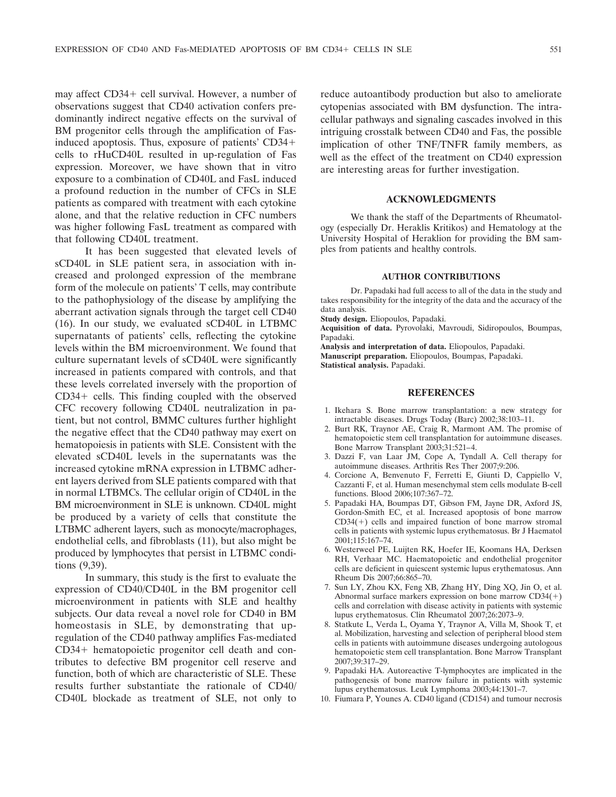may affect CD34+ cell survival. However, a number of observations suggest that CD40 activation confers predominantly indirect negative effects on the survival of BM progenitor cells through the amplification of Fasinduced apoptosis. Thus, exposure of patients' CD34 cells to rHuCD40L resulted in up-regulation of Fas expression. Moreover, we have shown that in vitro exposure to a combination of CD40L and FasL induced a profound reduction in the number of CFCs in SLE patients as compared with treatment with each cytokine alone, and that the relative reduction in CFC numbers was higher following FasL treatment as compared with that following CD40L treatment.

It has been suggested that elevated levels of sCD40L in SLE patient sera, in association with increased and prolonged expression of the membrane form of the molecule on patients' T cells, may contribute to the pathophysiology of the disease by amplifying the aberrant activation signals through the target cell CD40 (16). In our study, we evaluated sCD40L in LTBMC supernatants of patients' cells, reflecting the cytokine levels within the BM microenvironment. We found that culture supernatant levels of sCD40L were significantly increased in patients compared with controls, and that these levels correlated inversely with the proportion of  $CD34+$  cells. This finding coupled with the observed CFC recovery following CD40L neutralization in patient, but not control, BMMC cultures further highlight the negative effect that the CD40 pathway may exert on hematopoiesis in patients with SLE. Consistent with the elevated sCD40L levels in the supernatants was the increased cytokine mRNA expression in LTBMC adherent layers derived from SLE patients compared with that in normal LTBMCs. The cellular origin of CD40L in the BM microenvironment in SLE is unknown. CD40L might be produced by a variety of cells that constitute the LTBMC adherent layers, such as monocyte/macrophages, endothelial cells, and fibroblasts (11), but also might be produced by lymphocytes that persist in LTBMC conditions (9,39).

In summary, this study is the first to evaluate the expression of CD40/CD40L in the BM progenitor cell microenvironment in patients with SLE and healthy subjects. Our data reveal a novel role for CD40 in BM homeostasis in SLE, by demonstrating that upregulation of the CD40 pathway amplifies Fas-mediated CD34+ hematopoietic progenitor cell death and contributes to defective BM progenitor cell reserve and function, both of which are characteristic of SLE. These results further substantiate the rationale of CD40/ CD40L blockade as treatment of SLE, not only to reduce autoantibody production but also to ameliorate cytopenias associated with BM dysfunction. The intracellular pathways and signaling cascades involved in this intriguing crosstalk between CD40 and Fas, the possible implication of other TNF/TNFR family members, as well as the effect of the treatment on CD40 expression are interesting areas for further investigation.

## **ACKNOWLEDGMENTS**

We thank the staff of the Departments of Rheumatology (especially Dr. Heraklis Kritikos) and Hematology at the University Hospital of Heraklion for providing the BM samples from patients and healthy controls.

### **AUTHOR CONTRIBUTIONS**

Dr. Papadaki had full access to all of the data in the study and takes responsibility for the integrity of the data and the accuracy of the data analysis.

**Study design.** Eliopoulos, Papadaki.

**Acquisition of data.** Pyrovolaki, Mavroudi, Sidiropoulos, Boumpas, Papadaki.

**Analysis and interpretation of data.** Eliopoulos, Papadaki. **Manuscript preparation.** Eliopoulos, Boumpas, Papadaki. **Statistical analysis.** Papadaki.

### **REFERENCES**

- 1. Ikehara S. Bone marrow transplantation: a new strategy for intractable diseases. Drugs Today (Barc) 2002;38:103–11.
- 2. Burt RK, Traynor AE, Craig R, Marmont AM. The promise of hematopoietic stem cell transplantation for autoimmune diseases. Bone Marrow Transplant 2003;31:521–4.
- 3. Dazzi F, van Laar JM, Cope A, Tyndall A. Cell therapy for autoimmune diseases. Arthritis Res Ther 2007;9:206.
- 4. Corcione A, Benvenuto F, Ferretti E, Giunti D, Cappiello V, Cazzanti F, et al. Human mesenchymal stem cells modulate B-cell functions. Blood 2006;107:367–72.
- 5. Papadaki HA, Boumpas DT, Gibson FM, Jayne DR, Axford JS, Gordon-Smith EC, et al. Increased apoptosis of bone marrow  $CD34(+)$  cells and impaired function of bone marrow stromal cells in patients with systemic lupus erythematosus. Br J Haematol 2001;115:167–74.
- 6. Westerweel PE, Luijten RK, Hoefer IE, Koomans HA, Derksen RH, Verhaar MC. Haematopoietic and endothelial progenitor cells are deficient in quiescent systemic lupus erythematosus. Ann Rheum Dis 2007;66:865–70.
- 7. Sun LY, Zhou KX, Feng XB, Zhang HY, Ding XQ, Jin O, et al. Abnormal surface markers expression on bone marrow  $CD34(+)$ cells and correlation with disease activity in patients with systemic lupus erythematosus. Clin Rheumatol 2007;26:2073–9.
- 8. Statkute L, Verda L, Oyama Y, Traynor A, Villa M, Shook T, et al. Mobilization, harvesting and selection of peripheral blood stem cells in patients with autoimmune diseases undergoing autologous hematopoietic stem cell transplantation. Bone Marrow Transplant 2007;39:317–29.
- 9. Papadaki HA. Autoreactive T-lymphocytes are implicated in the pathogenesis of bone marrow failure in patients with systemic lupus erythematosus. Leuk Lymphoma 2003;44:1301–7.
- 10. Fiumara P, Younes A. CD40 ligand (CD154) and tumour necrosis